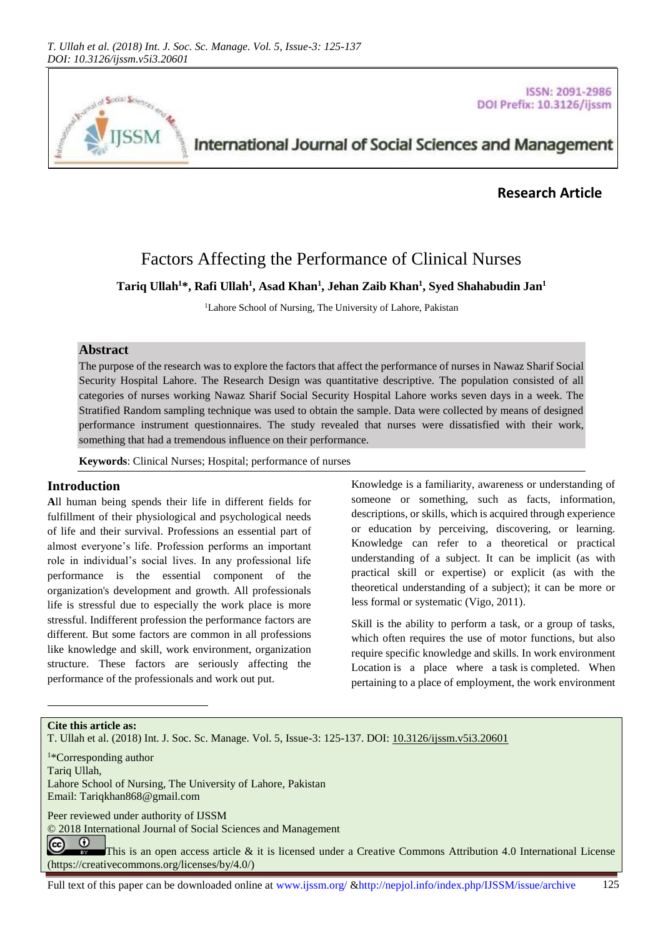

ISSN: 2091-2986 DOI Prefix: 10.3126/ijssm

# International Journal of Social Sciences and Management

# **Research Article**

# Factors Affecting the Performance of Clinical Nurses

**Tariq Ullah<sup>1</sup>\*, Rafi Ullah<sup>1</sup> , Asad Khan<sup>1</sup> , Jehan Zaib Khan<sup>1</sup> , Syed Shahabudin Jan<sup>1</sup>**

<sup>1</sup>Lahore School of Nursing, The University of Lahore, Pakistan

#### **Abstract**

The purpose of the research was to explore the factors that affect the performance of nurses in Nawaz Sharif Social Security Hospital Lahore. The Research Design was quantitative descriptive. The population consisted of all categories of nurses working Nawaz Sharif Social Security Hospital Lahore works seven days in a week. The Stratified Random sampling technique was used to obtain the sample. Data were collected by means of designed performance instrument questionnaires. The study revealed that nurses were dissatisfied with their work, something that had a tremendous influence on their performance.

**Keywords**: Clinical Nurses; Hospital; performance of nurses

# **Introduction**

**A**ll human being spends their life in different fields for fulfillment of their physiological and psychological needs of life and their survival. Professions an essential part of almost everyone's life. Profession performs an important role in individual's social lives. In any professional life performance is the essential component of the organization's development and growth. All professionals life is stressful due to especially the work place is more stressful. Indifferent profession the performance factors are different. But some factors are common in all professions like knowledge and skill, work environment, organization structure. These factors are seriously affecting the performance of the professionals and work out put.

Knowledge is a familiarity, awareness or understanding of someone or something, such as facts, information, descriptions, or skills, which is acquired through experience or education by perceiving, discovering, or learning. Knowledge can refer to a theoretical or practical understanding of a subject. It can be implicit (as with practical skill or expertise) or explicit (as with the theoretical understanding of a subject); it can be more or less formal or systematic (Vigo, 2011).

Skill is the ability to perform a task, or a group of tasks, which often requires the use of motor functions, but also require specific knowledge and skills. In work environment Location is a place where a task is completed. When pertaining to a place of employment, the work environment

#### **Cite this article as:**

l

T. Ullah et al. (2018) Int. J. Soc. Sc. Manage. Vol. 5, Issue-3: 125-137. DOI: [10.3126/ijssm.v5i3.20601](http://dx.doi.org/10.3126/ijssm.v5i3.20601)

<sup>1</sup>\*Corresponding author Tariq Ullah, Lahore School of Nursing, The University of Lahore, Pakistan Email[: Tariqkhan868@gmail.com](mailto:Tariqkhan868@gmail.com) 

Peer reviewed under authority of IJSSM

© 2018 International Journal of Social Sciences and Management

 $\odot$  $(cc)$ This is an open access article & it is licensed under a Creative Commons Attribution 4.0 International License **B** [\(https://creativecommons.org/licenses/by/4.0/\)](https://creativecommons.org/licenses/by/4.0/)

Full text of this paper can be downloaded online at www.ijssm.org/ &http://nepjol.info/index.php/IJSSM/issue/archive 125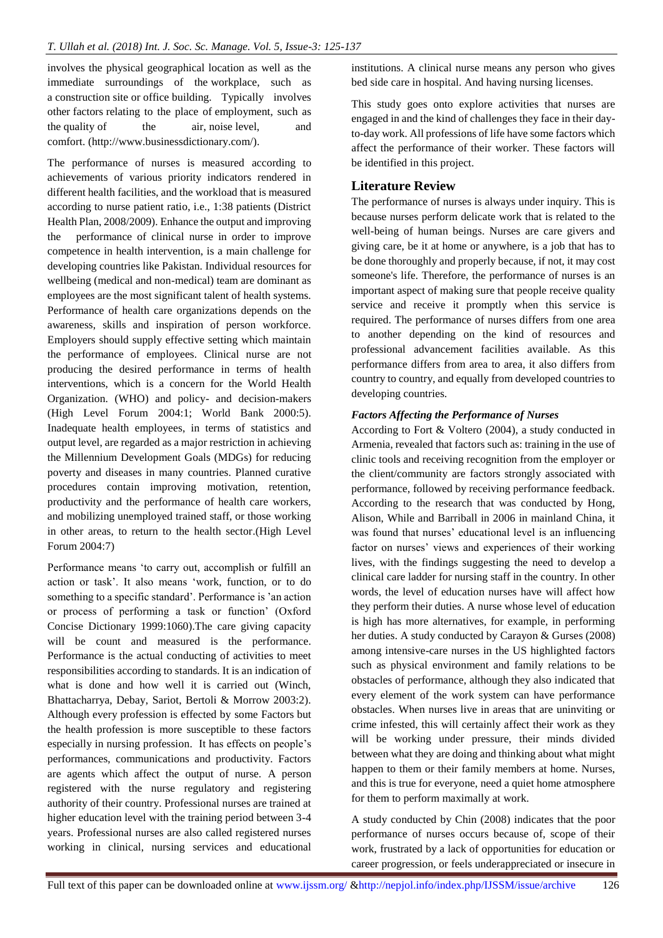involves the physical geographical location as well as the immediate surroundings of the workplace, such as a construction site or office building. Typically involves other factors relating to the place of employment, such as the quality of the air, noise level, and comfort. (http://www.businessdictionary.com/).

The performance of nurses is measured according to achievements of various priority indicators rendered in different health facilities, and the workload that is measured according to nurse patient ratio, i.e., 1:38 patients (District Health Plan, 2008/2009). Enhance the output and improving the performance of clinical nurse in order to improve competence in health intervention, is a main challenge for developing countries like Pakistan. Individual resources for wellbeing (medical and non-medical) team are dominant as employees are the most significant talent of health systems. Performance of health care organizations depends on the awareness, skills and inspiration of person workforce. Employers should supply effective setting which maintain the performance of employees. Clinical nurse are not producing the desired performance in terms of health interventions, which is a concern for the World Health Organization. (WHO) and policy- and decision-makers (High Level Forum 2004:1; World Bank 2000:5). Inadequate health employees, in terms of statistics and output level, are regarded as a major restriction in achieving the Millennium Development Goals (MDGs) for reducing poverty and diseases in many countries. Planned curative procedures contain improving motivation, retention, productivity and the performance of health care workers, and mobilizing unemployed trained staff, or those working in other areas, to return to the health sector.(High Level Forum 2004:7)

Performance means 'to carry out, accomplish or fulfill an action or task'. It also means 'work, function, or to do something to a specific standard'. Performance is 'an action or process of performing a task or function' (Oxford Concise Dictionary 1999:1060).The care giving capacity will be count and measured is the performance. Performance is the actual conducting of activities to meet responsibilities according to standards. It is an indication of what is done and how well it is carried out (Winch, Bhattacharrya, Debay, Sariot, Bertoli & Morrow 2003:2). Although every profession is effected by some Factors but the health profession is more susceptible to these factors especially in nursing profession. It has effects on people's performances, communications and productivity. Factors are agents which affect the output of nurse. A person registered with the nurse regulatory and registering authority of their country. Professional nurses are trained at higher education level with the training period between 3-4 years. Professional nurses are also called registered nurses working in clinical, nursing services and educational institutions. A clinical nurse means any person who gives bed side care in hospital. And having nursing licenses.

This study goes onto explore activities that nurses are engaged in and the kind of challenges they face in their dayto-day work. All professions of life have some factors which affect the performance of their worker. These factors will be identified in this project.

# **Literature Review**

The performance of nurses is always under inquiry. This is because nurses perform delicate work that is related to the well-being of human beings. Nurses are care givers and giving care, be it at home or anywhere, is a job that has to be done thoroughly and properly because, if not, it may cost someone's life. Therefore, the performance of nurses is an important aspect of making sure that people receive quality service and receive it promptly when this service is required. The performance of nurses differs from one area to another depending on the kind of resources and professional advancement facilities available. As this performance differs from area to area, it also differs from country to country, and equally from developed countries to developing countries.

## *Factors Affecting the Performance of Nurses*

According to Fort & Voltero (2004), a study conducted in Armenia, revealed that factors such as: training in the use of clinic tools and receiving recognition from the employer or the client/community are factors strongly associated with performance, followed by receiving performance feedback. According to the research that was conducted by Hong, Alison, While and Barriball in 2006 in mainland China, it was found that nurses' educational level is an influencing factor on nurses' views and experiences of their working lives, with the findings suggesting the need to develop a clinical care ladder for nursing staff in the country. In other words, the level of education nurses have will affect how they perform their duties. A nurse whose level of education is high has more alternatives, for example, in performing her duties. A study conducted by Carayon & Gurses (2008) among intensive-care nurses in the US highlighted factors such as physical environment and family relations to be obstacles of performance, although they also indicated that every element of the work system can have performance obstacles. When nurses live in areas that are uninviting or crime infested, this will certainly affect their work as they will be working under pressure, their minds divided between what they are doing and thinking about what might happen to them or their family members at home. Nurses, and this is true for everyone, need a quiet home atmosphere for them to perform maximally at work.

A study conducted by Chin (2008) indicates that the poor performance of nurses occurs because of, scope of their work, frustrated by a lack of opportunities for education or career progression, or feels underappreciated or insecure in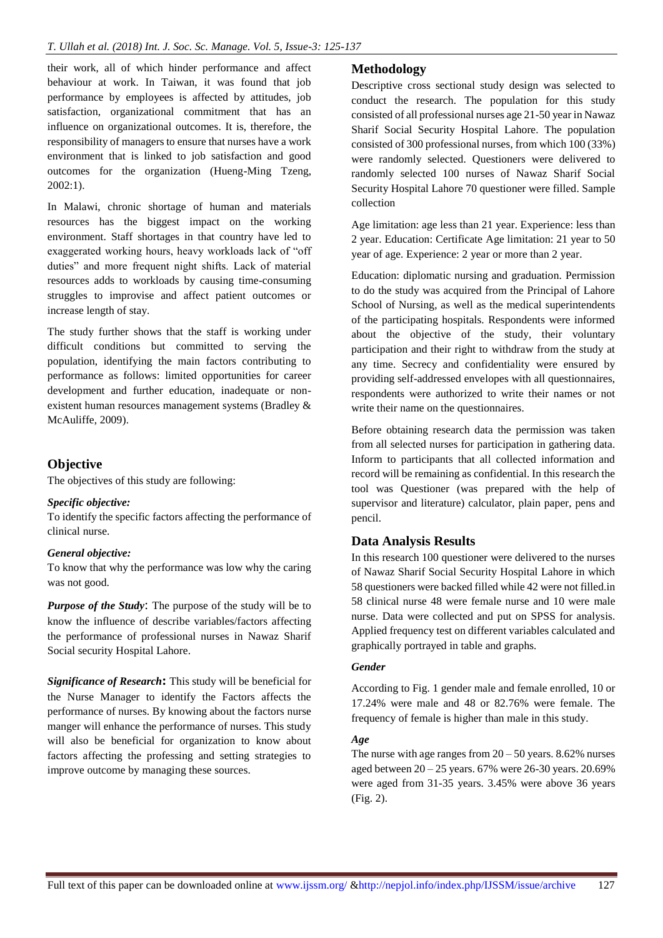their work, all of which hinder performance and affect behaviour at work. In Taiwan, it was found that job performance by employees is affected by attitudes, job satisfaction, organizational commitment that has an influence on organizational outcomes. It is, therefore, the responsibility of managers to ensure that nurses have a work environment that is linked to job satisfaction and good outcomes for the organization (Hueng-Ming Tzeng, 2002:1).

In Malawi, chronic shortage of human and materials resources has the biggest impact on the working environment. Staff shortages in that country have led to exaggerated working hours, heavy workloads lack of "off duties" and more frequent night shifts. Lack of material resources adds to workloads by causing time-consuming struggles to improvise and affect patient outcomes or increase length of stay.

The study further shows that the staff is working under difficult conditions but committed to serving the population, identifying the main factors contributing to performance as follows: limited opportunities for career development and further education, inadequate or nonexistent human resources management systems (Bradley & McAuliffe, 2009).

## **Objective**

The objectives of this study are following:

#### *Specific objective:*

To identify the specific factors affecting the performance of clinical nurse.

#### *General objective:*

To know that why the performance was low why the caring was not good.

*Purpose of the Study*: The purpose of the study will be to know the influence of describe variables/factors affecting the performance of professional nurses in Nawaz Sharif Social security Hospital Lahore.

*Significance of Research***:** This study will be beneficial for the Nurse Manager to identify the Factors affects the performance of nurses. By knowing about the factors nurse manger will enhance the performance of nurses. This study will also be beneficial for organization to know about factors affecting the professing and setting strategies to improve outcome by managing these sources.

#### **Methodology**

Descriptive cross sectional study design was selected to conduct the research. The population for this study consisted of all professional nurses age 21-50 year in Nawaz Sharif Social Security Hospital Lahore. The population consisted of 300 professional nurses, from which 100 (33%) were randomly selected. Questioners were delivered to randomly selected 100 nurses of Nawaz Sharif Social Security Hospital Lahore 70 questioner were filled. Sample collection

Age limitation: age less than 21 year. Experience: less than 2 year. Education: Certificate Age limitation: 21 year to 50 year of age. Experience: 2 year or more than 2 year.

Education: diplomatic nursing and graduation. Permission to do the study was acquired from the Principal of Lahore School of Nursing, as well as the medical superintendents of the participating hospitals. Respondents were informed about the objective of the study, their voluntary participation and their right to withdraw from the study at any time. Secrecy and confidentiality were ensured by providing self-addressed envelopes with all questionnaires, respondents were authorized to write their names or not write their name on the questionnaires.

Before obtaining research data the permission was taken from all selected nurses for participation in gathering data. Inform to participants that all collected information and record will be remaining as confidential. In this research the tool was Questioner (was prepared with the help of supervisor and literature) calculator, plain paper, pens and pencil.

## **Data Analysis Results**

In this research 100 questioner were delivered to the nurses of Nawaz Sharif Social Security Hospital Lahore in which 58 questioners were backed filled while 42 were not filled.in 58 clinical nurse 48 were female nurse and 10 were male nurse. Data were collected and put on SPSS for analysis. Applied frequency test on different variables calculated and graphically portrayed in table and graphs.

#### *Gender*

According to Fig. 1 gender male and female enrolled, 10 or 17.24% were male and 48 or 82.76% were female. The frequency of female is higher than male in this study.

#### *Age*

The nurse with age ranges from  $20 - 50$  years. 8.62% nurses aged between 20 – 25 years. 67% were 26-30 years. 20.69% were aged from 31-35 years. 3.45% were above 36 years (Fig. 2).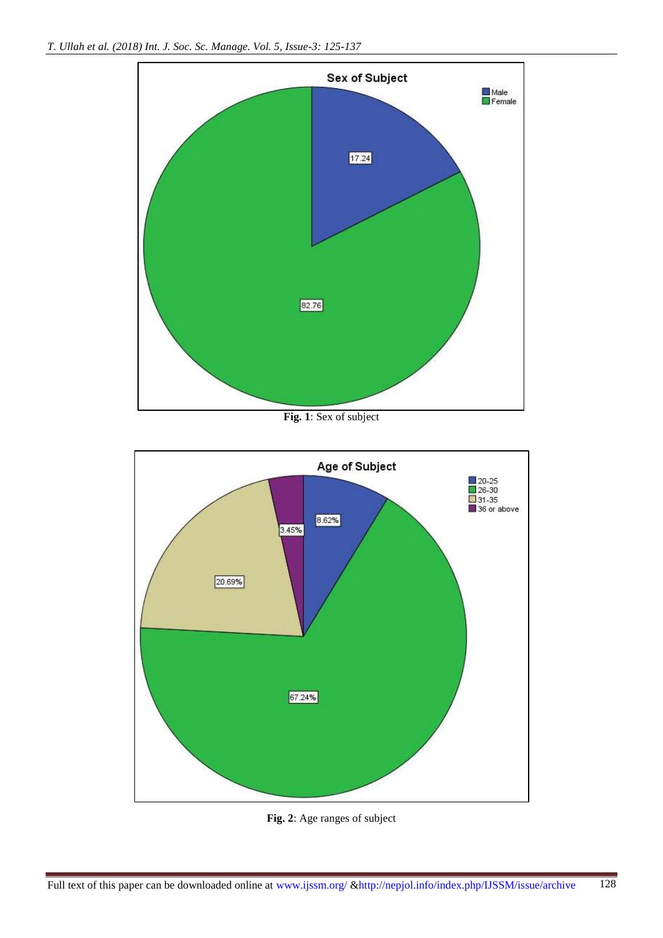

**Fig. 1**: Sex of subject



**Fig. 2**: Age ranges of subject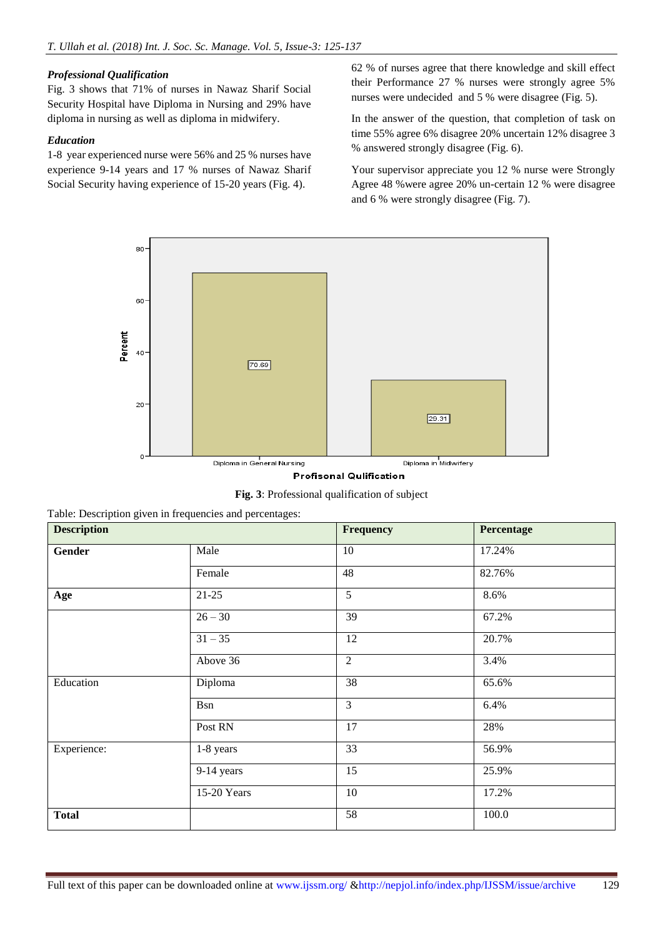## *Professional Qualification*

Fig. 3 shows that 71% of nurses in Nawaz Sharif Social Security Hospital have Diploma in Nursing and 29% have diploma in nursing as well as diploma in midwifery.

# *Education*

1-8 year experienced nurse were 56% and 25 % nurses have experience 9-14 years and 17 % nurses of Nawaz Sharif Social Security having experience of 15-20 years (Fig. 4).

62 % of nurses agree that there knowledge and skill effect their Performance 27 % nurses were strongly agree 5% nurses were undecided and 5 % were disagree (Fig. 5).

In the answer of the question, that completion of task on time 55% agree 6% disagree 20% uncertain 12% disagree 3 % answered strongly disagree (Fig. 6).

Your supervisor appreciate you 12 % nurse were Strongly Agree 48 %were agree 20% un-certain 12 % were disagree and 6 % were strongly disagree (Fig. 7).



## **Profisonal Qulification**

**Fig. 3**: Professional qualification of subject

|  |  |  |  | Table: Description given in frequencies and percentages: |
|--|--|--|--|----------------------------------------------------------|
|--|--|--|--|----------------------------------------------------------|

| <b>Description</b> |             | <b>Frequency</b> | Percentage |
|--------------------|-------------|------------------|------------|
| Gender             | Male        | 10               | 17.24%     |
|                    | Female      | 48               | 82.76%     |
| Age                | $21-25$     | 5                | 8.6%       |
|                    | $26 - 30$   | 39               | 67.2%      |
|                    | $31 - 35$   | 12               | 20.7%      |
|                    | Above 36    | $\overline{2}$   | 3.4%       |
| Education          | Diploma     | $\overline{38}$  | 65.6%      |
|                    | Bsn         | 3                | 6.4%       |
|                    | Post RN     | 17               | 28%        |
| Experience:        | 1-8 years   | 33               | 56.9%      |
|                    | 9-14 years  | 15               | 25.9%      |
|                    | 15-20 Years | 10               | 17.2%      |
| <b>Total</b>       |             | 58               | 100.0      |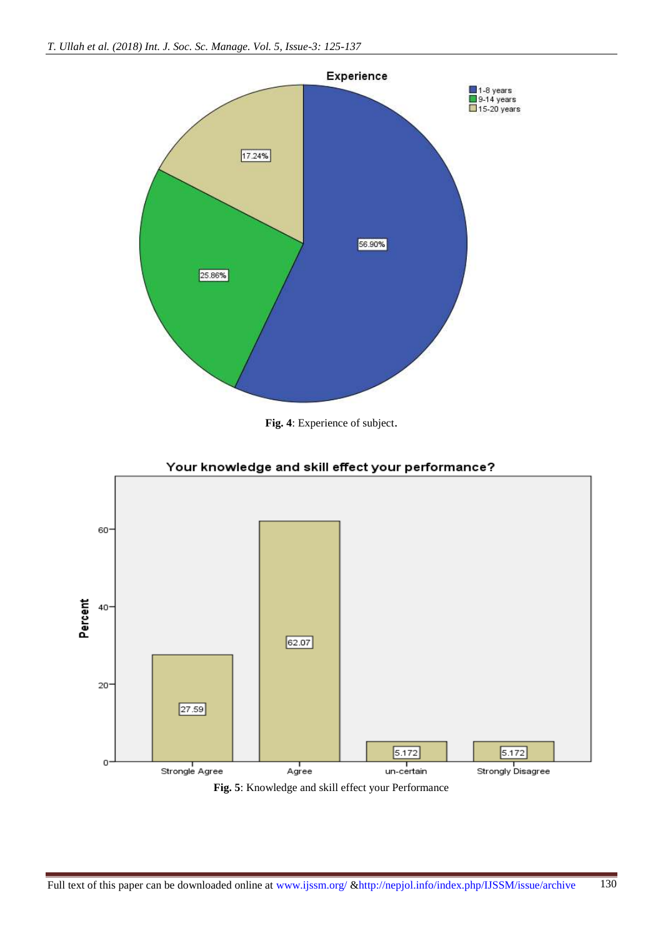

**Fig. 4**: Experience of subject.



**Fig. 5**: Knowledge and skill effect your Performance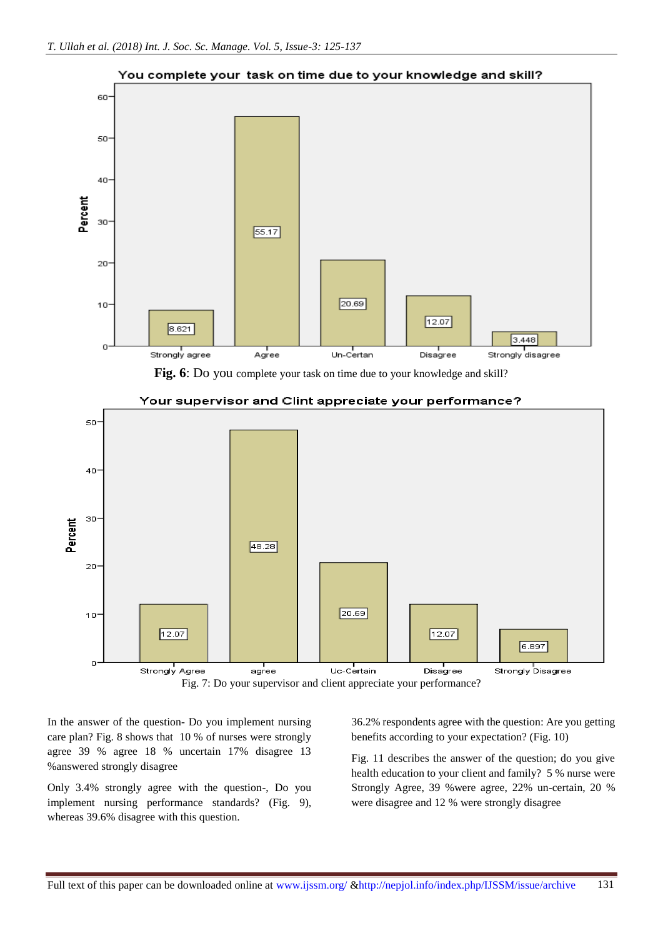

**Fig. 6**: Do you complete your task on time due to your knowledge and skill?



Your supervisor and Clint appreciate your performance?

In the answer of the question- Do you implement nursing care plan? Fig. 8 shows that 10 % of nurses were strongly agree 39 % agree 18 % uncertain 17% disagree 13 %answered strongly disagree

Only 3.4% strongly agree with the question-, Do you implement nursing performance standards? (Fig. 9), whereas 39.6% disagree with this question.

36.2% respondents agree with the question: Are you getting benefits according to your expectation? (Fig. 10)

Fig. 11 describes the answer of the question; do you give health education to your client and family? 5 % nurse were Strongly Agree, 39 %were agree, 22% un-certain, 20 % were disagree and 12 % were strongly disagree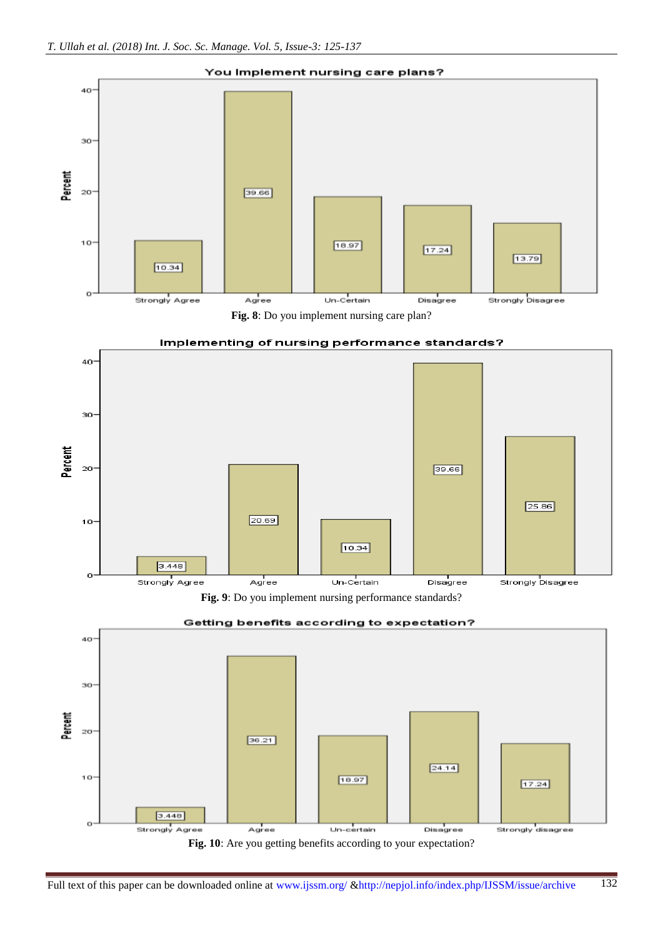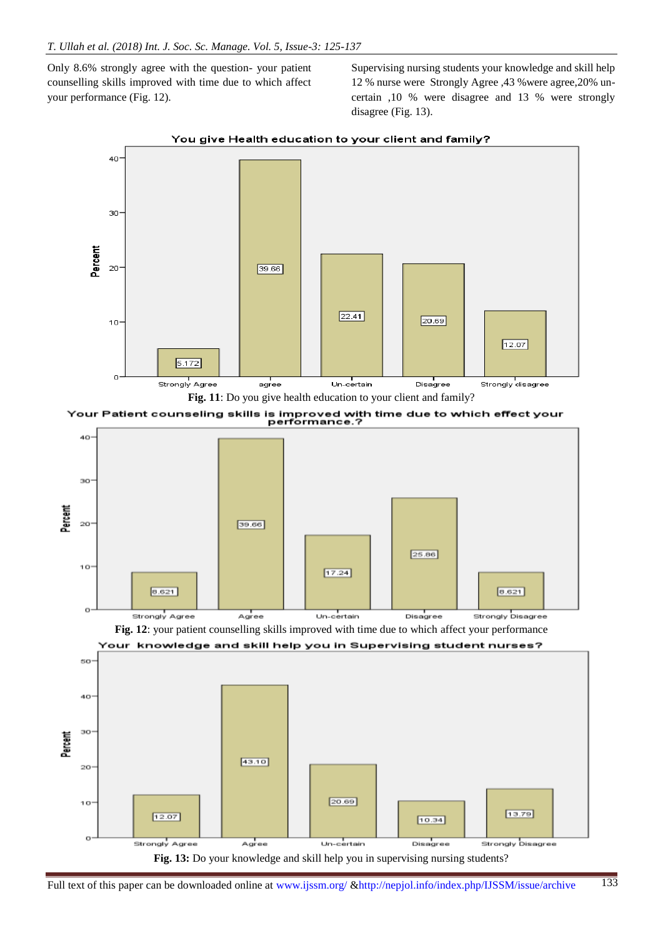Only 8.6% strongly agree with the question- your patient counselling skills improved with time due to which affect your performance (Fig. 12).

Supervising nursing students your knowledge and skill help 12 % nurse were Strongly Agree ,43 %were agree,20% uncertain ,10 % were disagree and 13 % were strongly disagree (Fig. 13).



You give Health education to your client and family?

Your Patient counseling skills is improved with time due to which effect your<br>performance.?

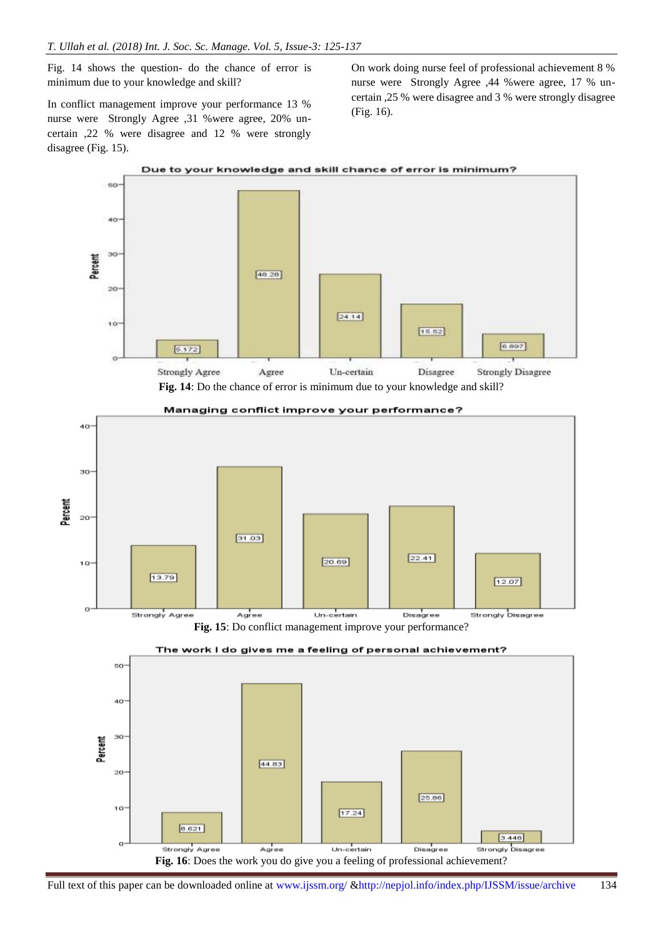Fig. 14 shows the question- do the chance of error is minimum due to your knowledge and skill?

In conflict management improve your performance 13 % nurse were Strongly Agree ,31 %were agree, 20% uncertain ,22 % were disagree and 12 % were strongly disagree (Fig. 15).

On work doing nurse feel of professional achievement 8 % nurse were Strongly Agree ,44 %were agree, 17 % uncertain ,25 % were disagree and 3 % were strongly disagree (Fig. 16).



Full text of this paper can be downloaded online at www.ijssm.org/ &http://nepjol.info/index.php/IJSSM/issue/archive 134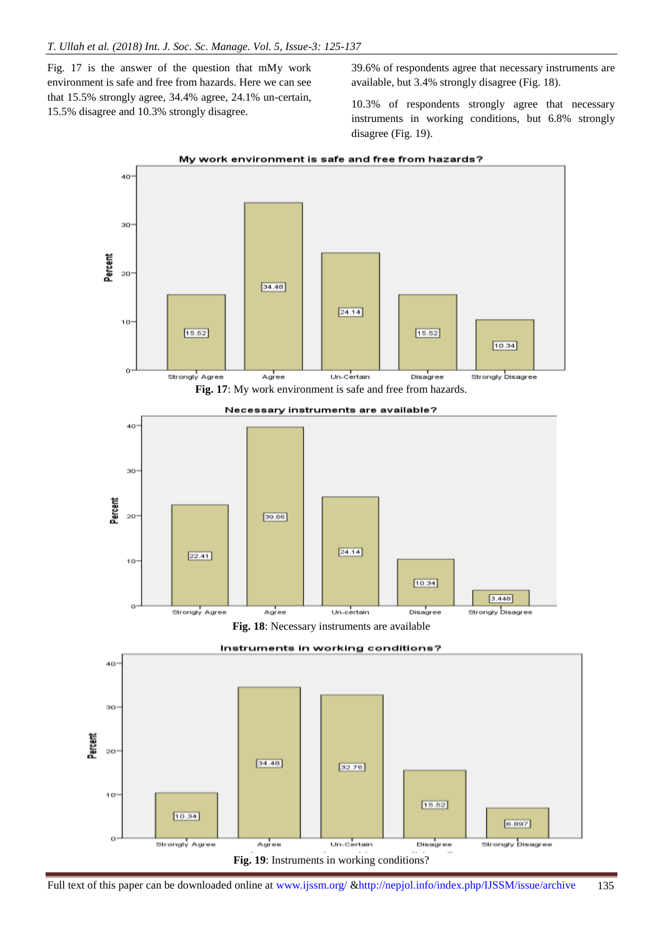Fig. 17 is the answer of the question that mMy work environment is safe and free from hazards. Here we can see that 15.5% strongly agree, 34.4% agree, 24.1% un-certain, 15.5% disagree and 10.3% strongly disagree.

39.6% of respondents agree that necessary instruments are available, but 3.4% strongly disagree (Fig. 18).

10.3% of respondents strongly agree that necessary instruments in working conditions, but 6.8% strongly disagree (Fig. 19).

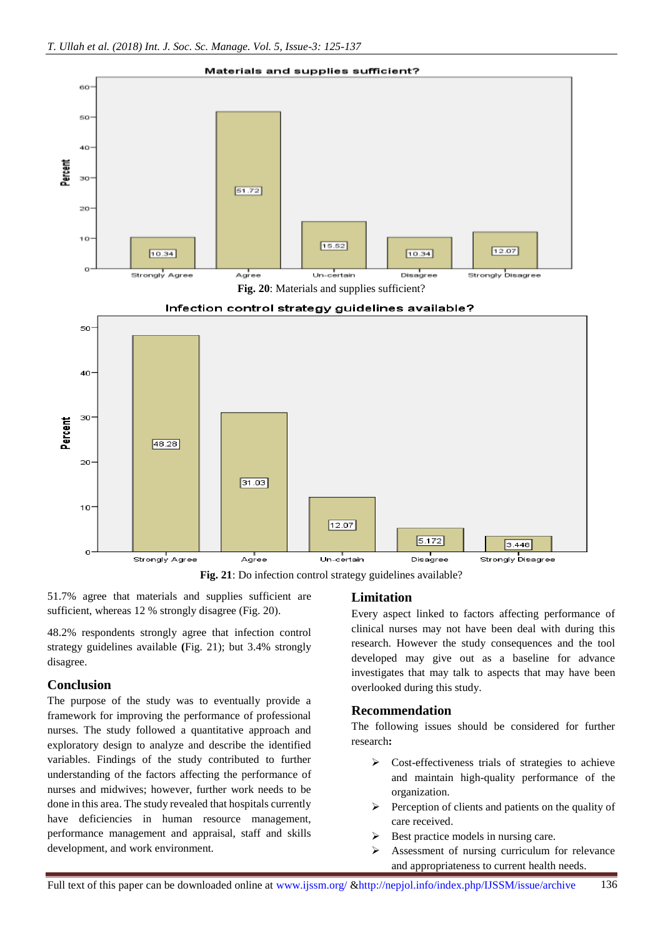

**Fig. 21**: Do infection control strategy guidelines available?

51.7% agree that materials and supplies sufficient are sufficient, whereas 12 % strongly disagree (Fig. 20).

48.2% respondents strongly agree that infection control strategy guidelines available **(**Fig. 21); but 3.4% strongly disagree.

# **Conclusion**

The purpose of the study was to eventually provide a framework for improving the performance of professional nurses. The study followed a quantitative approach and exploratory design to analyze and describe the identified variables. Findings of the study contributed to further understanding of the factors affecting the performance of nurses and midwives; however, further work needs to be done in this area. The study revealed that hospitals currently have deficiencies in human resource management, performance management and appraisal, staff and skills development, and work environment.

# **Limitation**

Every aspect linked to factors affecting performance of clinical nurses may not have been deal with during this research. However the study consequences and the tool developed may give out as a baseline for advance investigates that may talk to aspects that may have been overlooked during this study.

# **Recommendation**

The following issues should be considered for further research**:**

- $\triangleright$  Cost-effectiveness trials of strategies to achieve and maintain high-quality performance of the organization.
- $\triangleright$  Perception of clients and patients on the quality of care received.
- Best practice models in nursing care.
- $\triangleright$  Assessment of nursing curriculum for relevance and appropriateness to current health needs.